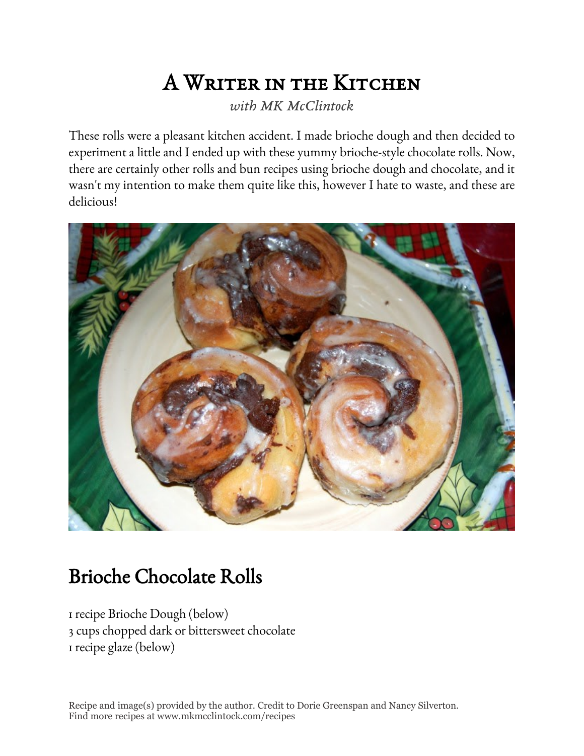# A Writer in the Kitchen

*with MK McClintock*

These rolls were a pleasant kitchen accident. I made brioche dough and then decided to experiment a little and I ended up with these yummy brioche-style chocolate rolls. Now, there are certainly other rolls and bun recipes using brioche dough and chocolate, and it wasn't my intention to make them quite like this, however I hate to waste, and these are delicious!



# Brioche Chocolate Rolls

1 recipe Brioche Dough (below) 3 cups chopped dark or bittersweet chocolate 1 recipe glaze (below)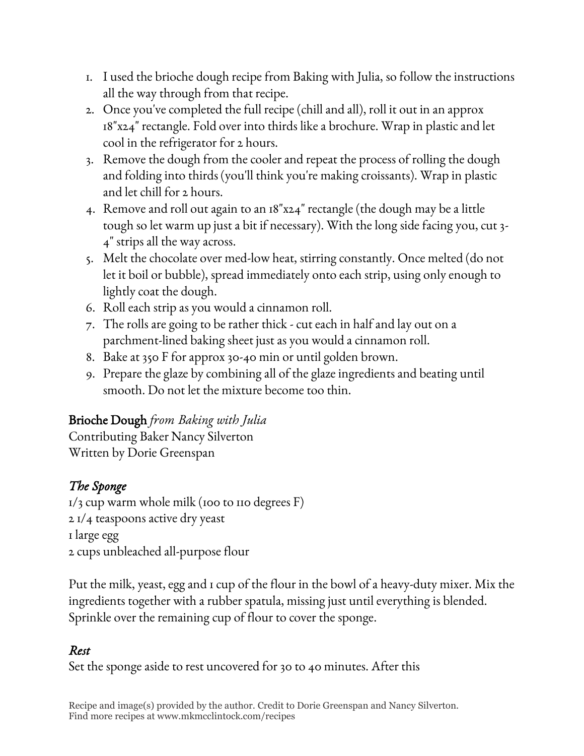- 1. I used the brioche dough recipe from Baking with Julia, so follow the instructions all the way through from that recipe.
- 2. Once you've completed the full recipe (chill and all), roll it out in an approx 18"x24" rectangle. Fold over into thirds like a brochure. Wrap in plastic and let cool in the refrigerator for 2 hours.
- 3. Remove the dough from the cooler and repeat the process of rolling the dough and folding into thirds (you'll think you're making croissants). Wrap in plastic and let chill for 2 hours.
- 4. Remove and roll out again to an 18"x24" rectangle (the dough may be a little tough so let warm up just a bit if necessary). With the long side facing you, cut 3- 4" strips all the way across.
- 5. Melt the chocolate over med-low heat, stirring constantly. Once melted (do not let it boil or bubble), spread immediately onto each strip, using only enough to lightly coat the dough.
- 6. Roll each strip as you would a cinnamon roll.
- 7. The rolls are going to be rather thick cut each in half and lay out on a parchment-lined baking sheet just as you would a cinnamon roll.
- 8. Bake at 350 F for approx 30-40 min or until golden brown.
- 9. Prepare the glaze by combining all of the glaze ingredients and beating until smooth. Do not let the mixture become too thin.

#### Brioche Dough *from Baking with Julia*

Contributing Baker Nancy Silverton Written by Dorie Greenspan

## *The Sponge*

 $1/3$  cup warm whole milk (100 to 110 degrees F) 2 1/4 teaspoons active dry yeast 1 large egg 2 cups unbleached all-purpose flour

Put the milk, yeast, egg and 1 cup of the flour in the bowl of a heavy-duty mixer. Mix the ingredients together with a rubber spatula, missing just until everything is blended. Sprinkle over the remaining cup of flour to cover the sponge.

#### *Rest*

Set the sponge aside to rest uncovered for 30 to 40 minutes. After this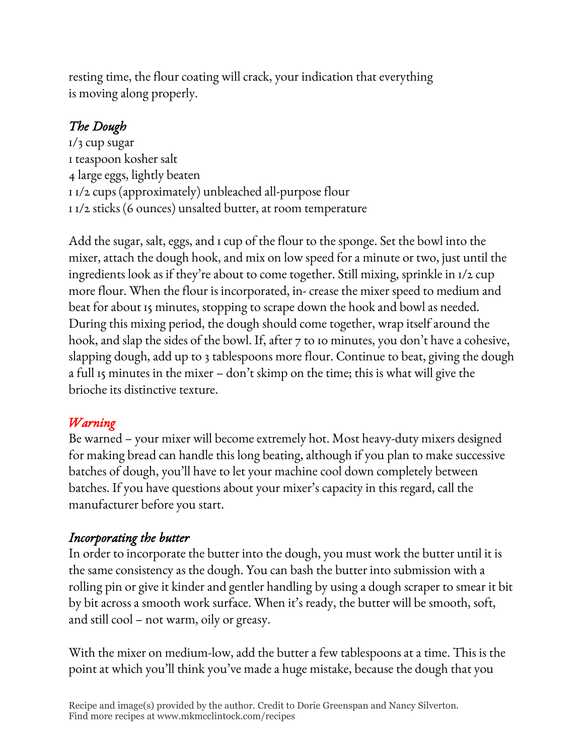resting time, the flour coating will crack, your indication that everything is moving along properly.

# *The Dough*

1/3 cup sugar 1 teaspoon kosher salt 4 large eggs, lightly beaten 1 1/2 cups (approximately) unbleached all-purpose flour 1 1/2 sticks (6 ounces) unsalted butter, at room temperature

Add the sugar, salt, eggs, and 1 cup of the flour to the sponge. Set the bowl into the mixer, attach the dough hook, and mix on low speed for a minute or two, just until the ingredients look as if they're about to come together. Still mixing, sprinkle in 1/2 cup more flour. When the flour is incorporated, in- crease the mixer speed to medium and beat for about 15 minutes, stopping to scrape down the hook and bowl as needed. During this mixing period, the dough should come together, wrap itself around the hook, and slap the sides of the bowl. If, after 7 to 10 minutes, you don't have a cohesive, slapping dough, add up to 3 tablespoons more flour. Continue to beat, giving the dough a full 15 minutes in the mixer – don't skimp on the time; this is what will give the brioche its distinctive texture.

## *Warning*

Be warned – your mixer will become extremely hot. Most heavy-duty mixers designed for making bread can handle this long beating, although if you plan to make successive batches of dough, you'll have to let your machine cool down completely between batches. If you have questions about your mixer's capacity in this regard, call the manufacturer before you start.

## *Incorporating the butter*

In order to incorporate the butter into the dough, you must work the butter until it is the same consistency as the dough. You can bash the butter into submission with a rolling pin or give it kinder and gentler handling by using a dough scraper to smear it bit by bit across a smooth work surface. When it's ready, the butter will be smooth, soft, and still cool – not warm, oily or greasy.

With the mixer on medium-low, add the butter a few tablespoons at a time. This is the point at which you'll think you've made a huge mistake, because the dough that you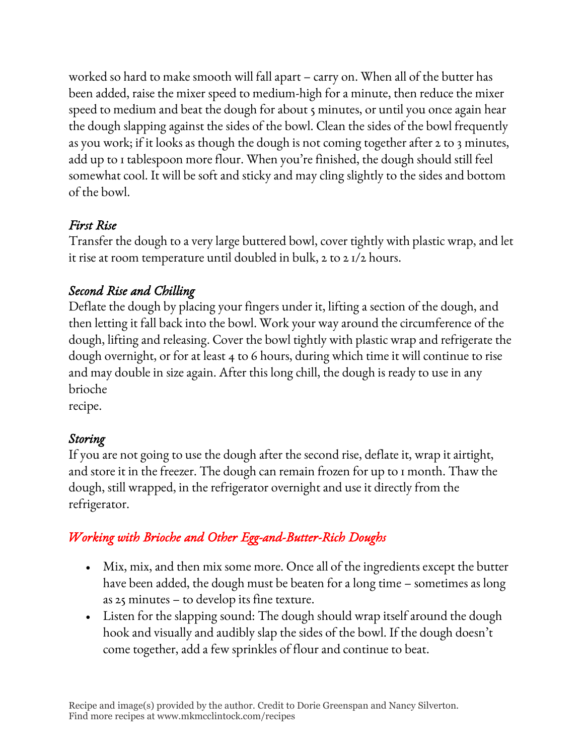worked so hard to make smooth will fall apart – carry on. When all of the butter has been added, raise the mixer speed to medium-high for a minute, then reduce the mixer speed to medium and beat the dough for about 5 minutes, or until you once again hear the dough slapping against the sides of the bowl. Clean the sides of the bowl frequently as you work; if it looks as though the dough is not coming together after 2 to 3 minutes, add up to 1 tablespoon more flour. When you're finished, the dough should still feel somewhat cool. It will be soft and sticky and may cling slightly to the sides and bottom of the bowl.

#### *First Rise*

Transfer the dough to a very large buttered bowl, cover tightly with plastic wrap, and let it rise at room temperature until doubled in bulk, 2 to 2 1/2 hours.

## *Second Rise and Chilling*

Deflate the dough by placing your fingers under it, lifting a section of the dough, and then letting it fall back into the bowl. Work your way around the circumference of the dough, lifting and releasing. Cover the bowl tightly with plastic wrap and refrigerate the dough overnight, or for at least 4 to 6 hours, during which time it will continue to rise and may double in size again. After this long chill, the dough is ready to use in any brioche

recipe.

## *Storing*

If you are not going to use the dough after the second rise, deflate it, wrap it airtight, and store it in the freezer. The dough can remain frozen for up to 1 month. Thaw the dough, still wrapped, in the refrigerator overnight and use it directly from the refrigerator.

# *Working with Brioche and Other Egg-and-Butter-Rich Doughs*

- Mix, mix, and then mix some more. Once all of the ingredients except the butter have been added, the dough must be beaten for a long time – sometimes as long as 25 minutes – to develop its fine texture.
- Listen for the slapping sound: The dough should wrap itself around the dough hook and visually and audibly slap the sides of the bowl. If the dough doesn't come together, add a few sprinkles of flour and continue to beat.